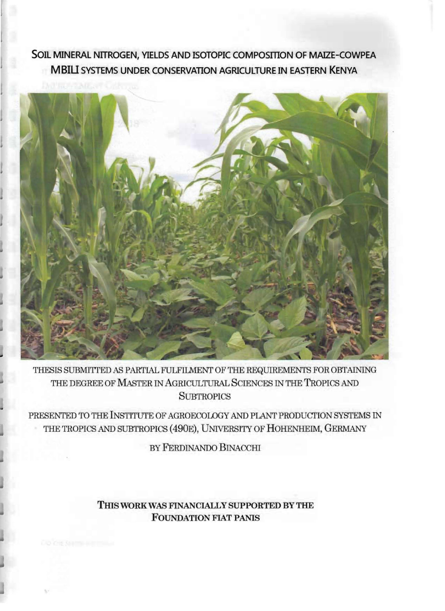## SOIL MINERAL NITROGEN, YIELDS AND ISOTOPIC COMPOSITION OF MAIZE-COWPEA **MBIU SYSTEMS UNDER CONSERVATION AGRICULTURE IN EASTERN KENYA**



THESIS SUBMITIED AB PARTIAL FULFILMENT OF THE REQUIREMENTS FOR OBTAINING THE DEGREE OF MASTER IN AGRICULTURAL SCIENCES IN THE TROPICS AND **SUBTROPICS** 

PRESENTED TO THE INSTITUTE OF AGROECOLOGY AND PLANT PRODUCTION SYSTEMS IN THE TROPICS AND SUBTROPICS (490E), UNIVERSITY OF HOHENHEIM, GERMANY

BY FERDINANDO BINACCHI

**THIS WORK WAS FINANCIALLY SUPPORTED BY THE FOUNDATION FIAT PANIS**